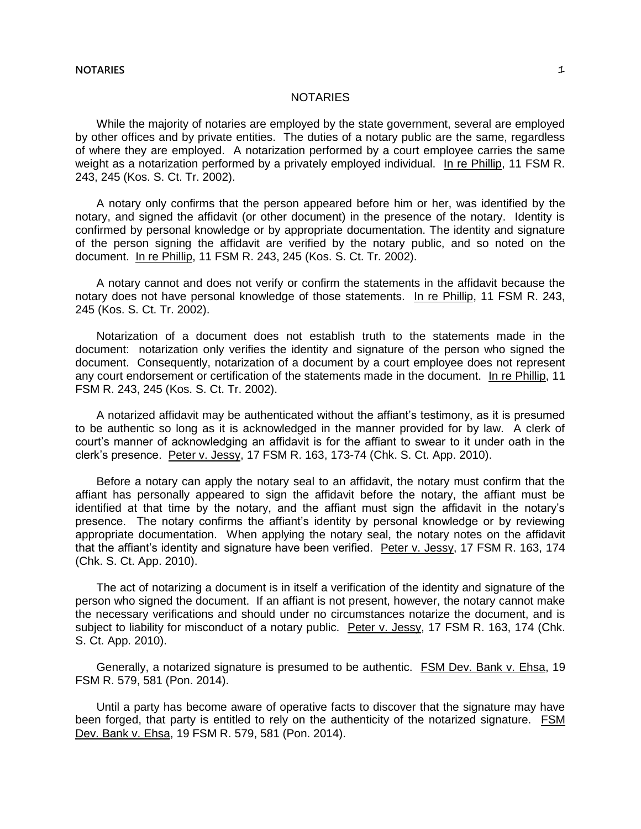## **NOTARIES** 1

## NOTARIES

While the majority of notaries are employed by the state government, several are employed by other offices and by private entities. The duties of a notary public are the same, regardless of where they are employed. A notarization performed by a court employee carries the same weight as a notarization performed by a privately employed individual. In re Phillip, 11 FSM R. 243, 245 (Kos. S. Ct. Tr. 2002).

A notary only confirms that the person appeared before him or her, was identified by the notary, and signed the affidavit (or other document) in the presence of the notary. Identity is confirmed by personal knowledge or by appropriate documentation. The identity and signature of the person signing the affidavit are verified by the notary public, and so noted on the document. In re Phillip, 11 FSM R. 243, 245 (Kos. S. Ct. Tr. 2002).

A notary cannot and does not verify or confirm the statements in the affidavit because the notary does not have personal knowledge of those statements. In re Phillip, 11 FSM R. 243, 245 (Kos. S. Ct. Tr. 2002).

Notarization of a document does not establish truth to the statements made in the document: notarization only verifies the identity and signature of the person who signed the document. Consequently, notarization of a document by a court employee does not represent any court endorsement or certification of the statements made in the document. In re Phillip, 11 FSM R. 243, 245 (Kos. S. Ct. Tr. 2002).

A notarized affidavit may be authenticated without the affiant's testimony, as it is presumed to be authentic so long as it is acknowledged in the manner provided for by law. A clerk of court's manner of acknowledging an affidavit is for the affiant to swear to it under oath in the clerk's presence. Peter v. Jessy, 17 FSM R. 163, 173-74 (Chk. S. Ct. App. 2010).

Before a notary can apply the notary seal to an affidavit, the notary must confirm that the affiant has personally appeared to sign the affidavit before the notary, the affiant must be identified at that time by the notary, and the affiant must sign the affidavit in the notary's presence. The notary confirms the affiant's identity by personal knowledge or by reviewing appropriate documentation. When applying the notary seal, the notary notes on the affidavit that the affiant's identity and signature have been verified. Peter v. Jessy, 17 FSM R. 163, 174 (Chk. S. Ct. App. 2010).

The act of notarizing a document is in itself a verification of the identity and signature of the person who signed the document. If an affiant is not present, however, the notary cannot make the necessary verifications and should under no circumstances notarize the document, and is subject to liability for misconduct of a notary public. Peter v. Jessy, 17 FSM R. 163, 174 (Chk. S. Ct. App. 2010).

Generally, a notarized signature is presumed to be authentic. FSM Dev. Bank v. Ehsa, 19 FSM R. 579, 581 (Pon. 2014).

Until a party has become aware of operative facts to discover that the signature may have been forged, that party is entitled to rely on the authenticity of the notarized signature. FSM Dev. Bank v. Ehsa, 19 FSM R. 579, 581 (Pon. 2014).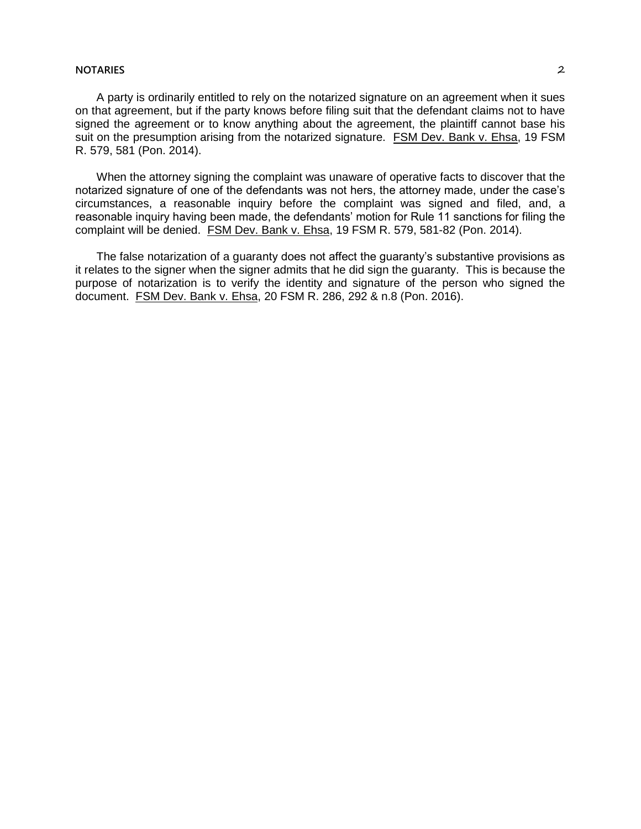## **NOTARIES** 2

A party is ordinarily entitled to rely on the notarized signature on an agreement when it sues on that agreement, but if the party knows before filing suit that the defendant claims not to have signed the agreement or to know anything about the agreement, the plaintiff cannot base his suit on the presumption arising from the notarized signature. FSM Dev. Bank v. Ehsa, 19 FSM R. 579, 581 (Pon. 2014).

When the attorney signing the complaint was unaware of operative facts to discover that the notarized signature of one of the defendants was not hers, the attorney made, under the case's circumstances, a reasonable inquiry before the complaint was signed and filed, and, a reasonable inquiry having been made, the defendants' motion for Rule 11 sanctions for filing the complaint will be denied. FSM Dev. Bank v. Ehsa, 19 FSM R. 579, 581-82 (Pon. 2014).

The false notarization of a guaranty does not affect the guaranty's substantive provisions as it relates to the signer when the signer admits that he did sign the guaranty. This is because the purpose of notarization is to verify the identity and signature of the person who signed the document. FSM Dev. Bank v. Ehsa, 20 FSM R. 286, 292 & n.8 (Pon. 2016).